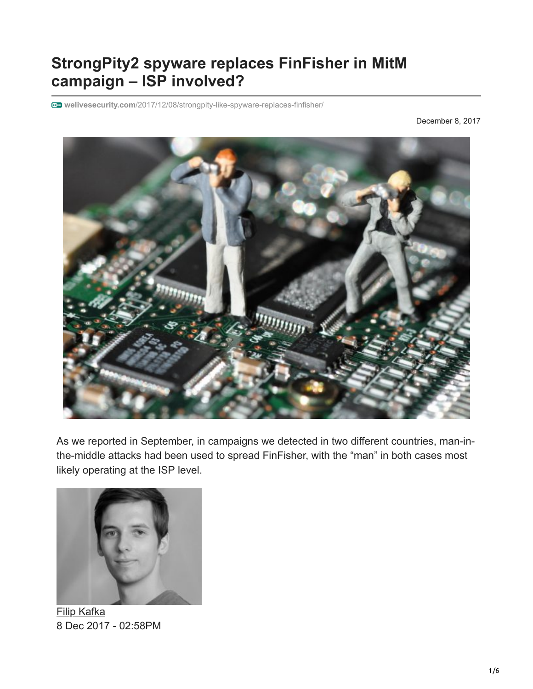# **StrongPity2 spyware replaces FinFisher in MitM campaign – ISP involved?**

**welivesecurity.com**[/2017/12/08/strongpity-like-spyware-replaces-finfisher/](https://www.welivesecurity.com/2017/12/08/strongpity-like-spyware-replaces-finfisher/)

December 8, 2017



As we reported in September, in campaigns we detected in two different countries, man-inthe-middle attacks had been used to spread FinFisher, with the "man" in both cases most likely operating at the ISP level.



[Filip Kafka](https://www.welivesecurity.com/author/fkafka/) 8 Dec 2017 - 02:58PM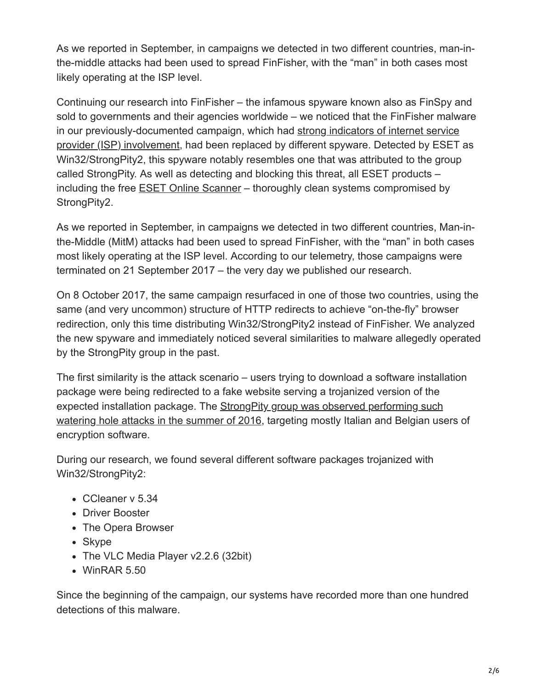As we reported in September, in campaigns we detected in two different countries, man-inthe-middle attacks had been used to spread FinFisher, with the "man" in both cases most likely operating at the ISP level.

Continuing our research into FinFisher – the infamous spyware known also as FinSpy and sold to governments and their agencies worldwide – we noticed that the FinFisher malware [in our previously-documented campaign, which had strong indicators of internet service](https://www.welivesecurity.com/2017/09/21/new-finfisher-surveillance-campaigns/) provider (ISP) involvement, had been replaced by different spyware. Detected by ESET as Win32/StrongPity2, this spyware notably resembles one that was attributed to the group called StrongPity. As well as detecting and blocking this threat, all ESET products – including the free [ESET Online Scanner](https://www.eset.com/int/home/online-scanner/) – thoroughly clean systems compromised by StrongPity2.

As we reported in September, in campaigns we detected in two different countries, Man-inthe-Middle (MitM) attacks had been used to spread FinFisher, with the "man" in both cases most likely operating at the ISP level. According to our telemetry, those campaigns were terminated on 21 September 2017 – the very day we published our research.

On 8 October 2017, the same campaign resurfaced in one of those two countries, using the same (and very uncommon) structure of HTTP redirects to achieve "on-the-fly" browser redirection, only this time distributing Win32/StrongPity2 instead of FinFisher. We analyzed the new spyware and immediately noticed several similarities to malware allegedly operated by the StrongPity group in the past.

The first similarity is the attack scenario – users trying to download a software installation package were being redirected to a fake website serving a trojanized version of the expected installation package. The **StrongPity group was observed performing such** watering hole attacks in the summer of 2016, targeting mostly Italian and Belgian users of encryption software.

During our research, we found several different software packages trojanized with Win32/StrongPity2:

- CCleaner v 5.34
- Driver Booster
- The Opera Browser
- Skype
- The VLC Media Player v2.2.6 (32bit)
- WinRAR 5.50

Since the beginning of the campaign, our systems have recorded more than one hundred detections of this malware.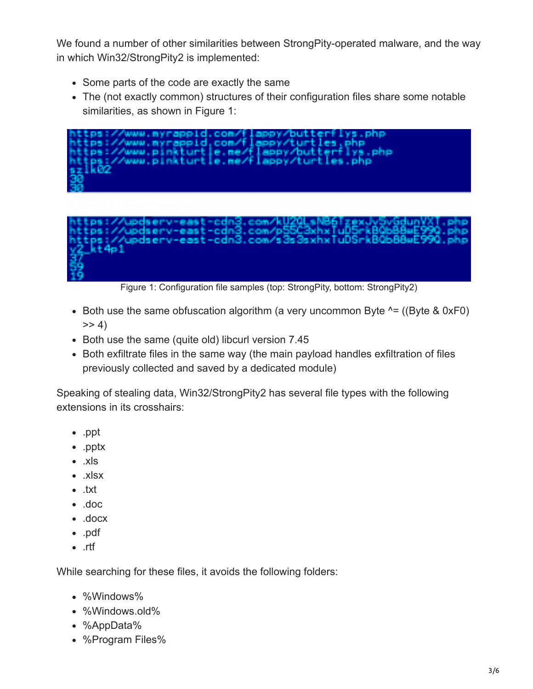We found a number of other similarities between StrongPity-operated malware, and the way in which Win32/StrongPity2 is implemented:

- Some parts of the code are exactly the same
- The (not exactly common) structures of their configuration files share some notable similarities, as shown in Figure 1:



Figure 1: Configuration file samples (top: StrongPity, bottom: StrongPity2)

- Both use the same obfuscation algorithm (a very uncommon Byte  $^{\wedge}$  = ((Byte & 0xF0)  $>> 4$
- Both use the same (quite old) libcurl version 7.45
- Both exfiltrate files in the same way (the main payload handles exfiltration of files previously collected and saved by a dedicated module)

Speaking of stealing data, Win32/StrongPity2 has several file types with the following extensions in its crosshairs:

- .ppt
- .pptx
- .xls
- .xlsx
- .txt
- .doc
- .docx
- .pdf
- .rtf

While searching for these files, it avoids the following folders:

- %Windows%
- %Windows.old%
- %AppData%
- %Program Files%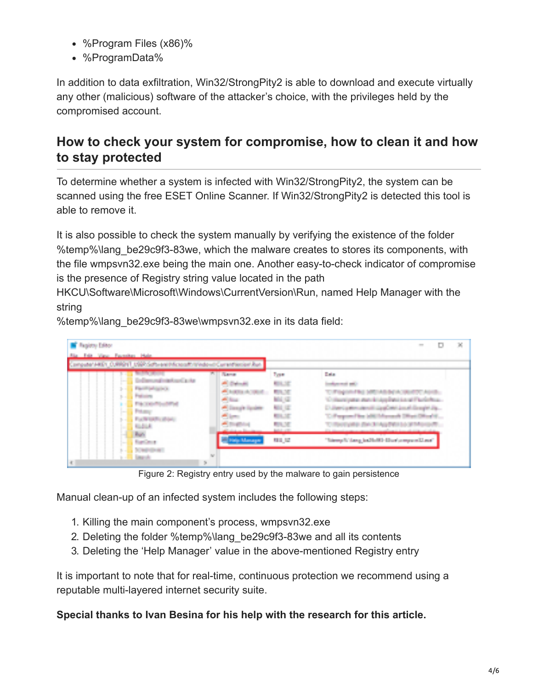- %Program Files (x86)%
- %ProgramData%

In addition to data exfiltration, Win32/StrongPity2 is able to download and execute virtually any other (malicious) software of the attacker's choice, with the privileges held by the compromised account.

# **How to check your system for compromise, how to clean it and how to stay protected**

To determine whether a system is infected with Win32/StrongPity2, the system can be scanned using the free ESET Online Scanner. If Win32/StrongPity2 is detected this tool is able to remove it.

It is also possible to check the system manually by verifying the existence of the folder %temp%\lang be29c9f3-83we, which the malware creates to stores its components, with the file wmpsvn32.exe being the main one. Another easy-to-check indicator of compromise is the presence of Registry string value located in the path

HKCU\Software\Microsoft\Windows\CurrentVersion\Run, named Help Manager with the string

%temp%\lang\_be29c9f3-83we\wmpsvn32.exe in its data field:

| <b>Bagicty Editor</b>                                                   |                                   |                                        | ×<br>═                                                                                                                          |
|-------------------------------------------------------------------------|-----------------------------------|----------------------------------------|---------------------------------------------------------------------------------------------------------------------------------|
| Sta. 140 View, Parenter, Hale,                                          |                                   |                                        |                                                                                                                                 |
| Computer HIEV, DJRRPNT, USR Schweizlichkeiterführtebenörüngen dess Aus- |                                   |                                        |                                                                                                                                 |
| <b>BUT ANY</b>                                                          | <b>P. L. Steven</b>               | <b>Post</b>                            | <b>Calle</b>                                                                                                                    |
| all and continued and a char-                                           | <b>Colorado</b>                   | <b>REAL OF</b>                         | <b>Industrial ART</b>                                                                                                           |
| <b>David programs</b><br>li d<br><b>Part of the State</b><br>Tu d       | <b>Automobile</b><br>Al Inch      | <b>British Mi</b>                      |                                                                                                                                 |
| <b>Fig. Londing Miles</b>                                               | Chapt Low                         | Mid. G.<br><b><i><u>ATA 12</u></i></b> | Columbus and ideplacing Part<br>Unertainmaker/FilippOntialistich Daught Ja.,                                                    |
| <b>Policy</b><br><b>TELESCO</b><br>For the parties affiliated           | a ter                             | <b>ALL SET</b>                         | The exposure has a bill the basic and                                                                                           |
| <b>Call Ave.</b><br>Page 1                                              | and the company of the company of | <b>RASE</b><br><b>AND AT</b>           | <b>Car Industrial Product</b><br><b>COMMERCIAL CONTRACT</b><br>The internal company manually changed and has all company at the |
| <b><i><u>Suppliers</u></i></b>                                          |                                   | т.<br>相当に                              | 1999.<br>"himsels" have been to the ther's report Lines"                                                                        |
| <b>CONTRACTOR</b><br><b>Council</b>                                     | 52                                |                                        |                                                                                                                                 |
| ł.                                                                      | Ş.                                |                                        |                                                                                                                                 |

Figure 2: Registry entry used by the malware to gain persistence

Manual clean-up of an infected system includes the following steps:

- 1. Killing the main component's process, wmpsvn32.exe
- 2. Deleting the folder %temp%\lang be29c9f3-83we and all its contents
- 3. Deleting the 'Help Manager' value in the above-mentioned Registry entry

It is important to note that for real-time, continuous protection we recommend using a reputable multi-layered internet security suite.

#### **Special thanks to Ivan Besina for his help with the research for this article.**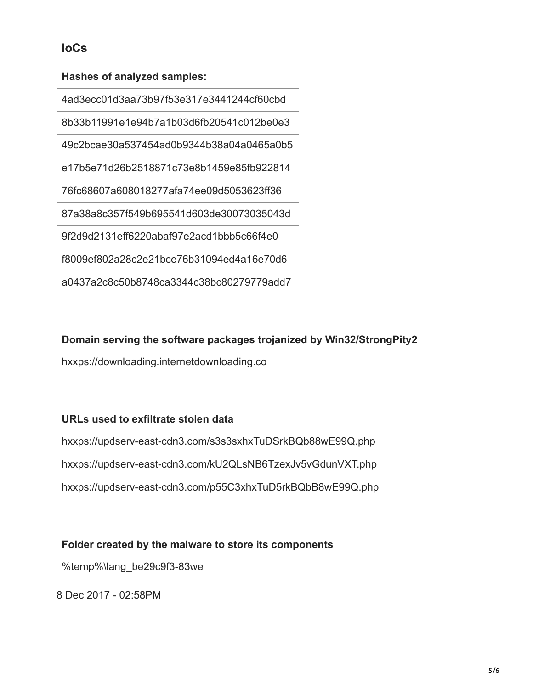## **IoCs**

#### **Hashes of analyzed samples:**

4ad3ecc01d3aa73b97f53e317e3441244cf60cbd 8b33b11991e1e94b7a1b03d6fb20541c012be0e3 49c2bcae30a537454ad0b9344b38a04a0465a0b5 e17b5e71d26b2518871c73e8b1459e85fb922814 76fc68607a608018277afa74ee09d5053623ff36 87a38a8c357f549b695541d603de30073035043d 9f2d9d2131eff6220abaf97e2acd1bbb5c66f4e0 f8009ef802a28c2e21bce76b31094ed4a16e70d6 a0437a2c8c50b8748ca3344c38bc80279779add7

#### **Domain serving the software packages trojanized by Win32/StrongPity2**

hxxps://downloading.internetdownloading.co

#### **URLs used to exfiltrate stolen data**

hxxps://updserv-east-cdn3.com/s3s3sxhxTuDSrkBQb88wE99Q.php

hxxps://updserv-east-cdn3.com/kU2QLsNB6TzexJv5vGdunVXT.php

hxxps://updserv-east-cdn3.com/p55C3xhxTuD5rkBQbB8wE99Q.php

### **Folder created by the malware to store its components**

%temp%\lang\_be29c9f3-83we

8 Dec 2017 - 02:58PM